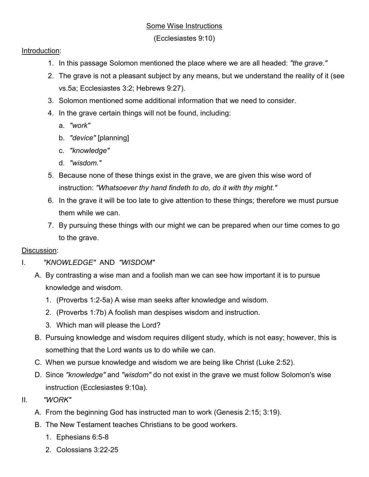## Some Wise Instructions

(Ecclesiastes 9:10)

## Introduction:

- 1. In this passage Solomon mentioned the place where we are all headed: *"the grave."*
- 2. The grave is not a pleasant subject by any means, but we understand the reality of it (see vs.5a; Ecclesiastes 3:2; Hebrews 9:27).
- 3. Solomon mentioned some additional information that we need to consider.
- 4. In the grave certain things will not be found, including:
	- a. *"work"*
	- b. *"device"* [planning]
	- c. *"knowledge"*
	- d. *"wisdom."*
- 5. Because none of these things exist in the grave, we are given this wise word of instruction: *"Whatsoever thy hand findeth to do, do it with thy might."*
- 6. In the grave it will be too late to give attention to these things; therefore we must pursue them while we can.
- 7. By pursuing these things with our might we can be prepared when our time comes to go to the grave.

## Discussion:

- I. *"KNOWLEDGE"* AND *"WISDOM"*
	- A. By contrasting a wise man and a foolish man we can see how important it is to pursue knowledge and wisdom.
		- 1. (Proverbs 1:2-5a) A wise man seeks after knowledge and wisdom.
		- 2. (Proverbs 1:7b) A foolish man despises wisdom and instruction.
		- 3. Which man will please the Lord?
	- B. Pursuing knowledge and wisdom requires diligent study, which is not easy; however, this is something that the Lord wants us to do while we can.
	- C. When we pursue knowledge and wisdom we are being like Christ (Luke 2:52).
	- D. Since *"knowledge"* and *"wisdom"* do not exist in the grave we must follow Solomon's wise instruction (Ecclesiastes 9:10a).
- II. *"WORK"*
	- A. From the beginning God has instructed man to work (Genesis 2:15; 3:19).
	- B. The New Testament teaches Christians to be good workers.
		- 1. Ephesians 6:5-8
		- 2. Colossians 3:22-25